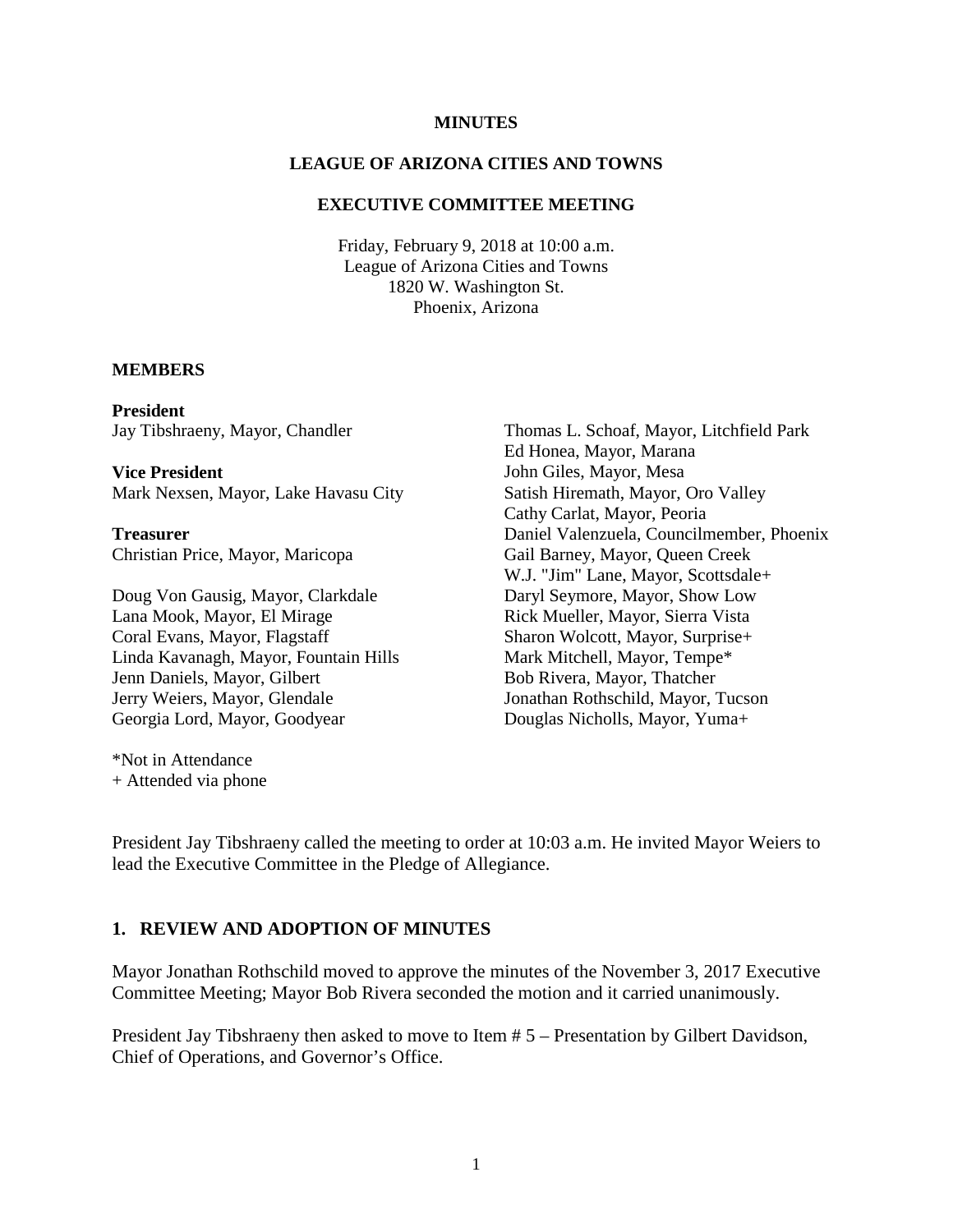#### **MINUTES**

### **LEAGUE OF ARIZONA CITIES AND TOWNS**

### **EXECUTIVE COMMITTEE MEETING**

Friday, February 9, 2018 at 10:00 a.m. League of Arizona Cities and Towns 1820 W. Washington St. Phoenix, Arizona

#### **MEMBERS**

**President** Jay Tibshraeny, Mayor, Chandler

**Vice President** Mark Nexsen, Mayor, Lake Havasu City

**Treasurer** Christian Price, Mayor, Maricopa

Doug Von Gausig, Mayor, Clarkdale Lana Mook, Mayor, El Mirage Coral Evans, Mayor, Flagstaff Linda Kavanagh, Mayor, Fountain Hills Jenn Daniels, Mayor, Gilbert Jerry Weiers, Mayor, Glendale Georgia Lord, Mayor, Goodyear

\*Not in Attendance + Attended via phone Thomas L. Schoaf, Mayor, Litchfield Park Ed Honea, Mayor, Marana John Giles, Mayor, Mesa Satish Hiremath, Mayor, Oro Valley Cathy Carlat, Mayor, Peoria Daniel Valenzuela, Councilmember, Phoenix Gail Barney, Mayor, Queen Creek W.J. "Jim" Lane, Mayor, Scottsdale+ Daryl Seymore, Mayor, Show Low Rick Mueller, Mayor, Sierra Vista Sharon Wolcott, Mayor, Surprise+ Mark Mitchell, Mayor, Tempe\* Bob Rivera, Mayor, Thatcher Jonathan Rothschild, Mayor, Tucson Douglas Nicholls, Mayor, Yuma+

President Jay Tibshraeny called the meeting to order at 10:03 a.m. He invited Mayor Weiers to lead the Executive Committee in the Pledge of Allegiance.

#### **1. REVIEW AND ADOPTION OF MINUTES**

Mayor Jonathan Rothschild moved to approve the minutes of the November 3, 2017 Executive Committee Meeting; Mayor Bob Rivera seconded the motion and it carried unanimously.

President Jay Tibshraeny then asked to move to Item # 5 – Presentation by Gilbert Davidson, Chief of Operations, and Governor's Office.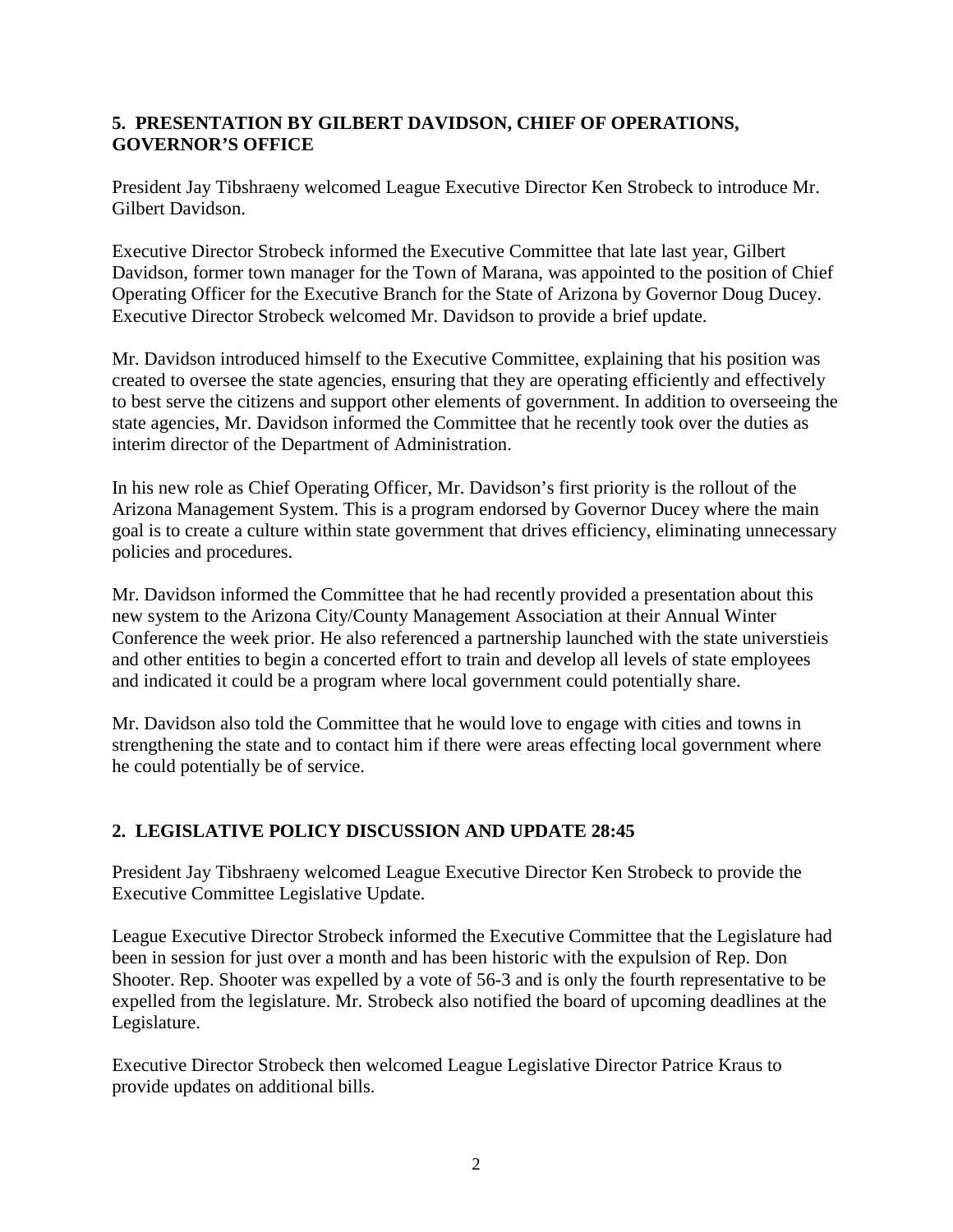## **5. PRESENTATION BY GILBERT DAVIDSON, CHIEF OF OPERATIONS, GOVERNOR'S OFFICE**

President Jay Tibshraeny welcomed League Executive Director Ken Strobeck to introduce Mr. Gilbert Davidson.

Executive Director Strobeck informed the Executive Committee that late last year, Gilbert Davidson, former town manager for the Town of Marana, was appointed to the position of Chief Operating Officer for the Executive Branch for the State of Arizona by Governor Doug Ducey. Executive Director Strobeck welcomed Mr. Davidson to provide a brief update.

Mr. Davidson introduced himself to the Executive Committee, explaining that his position was created to oversee the state agencies, ensuring that they are operating efficiently and effectively to best serve the citizens and support other elements of government. In addition to overseeing the state agencies, Mr. Davidson informed the Committee that he recently took over the duties as interim director of the Department of Administration.

In his new role as Chief Operating Officer, Mr. Davidson's first priority is the rollout of the Arizona Management System. This is a program endorsed by Governor Ducey where the main goal is to create a culture within state government that drives efficiency, eliminating unnecessary policies and procedures.

Mr. Davidson informed the Committee that he had recently provided a presentation about this new system to the Arizona City/County Management Association at their Annual Winter Conference the week prior. He also referenced a partnership launched with the state universtieis and other entities to begin a concerted effort to train and develop all levels of state employees and indicated it could be a program where local government could potentially share.

Mr. Davidson also told the Committee that he would love to engage with cities and towns in strengthening the state and to contact him if there were areas effecting local government where he could potentially be of service.

# **2. LEGISLATIVE POLICY DISCUSSION AND UPDATE 28:45**

President Jay Tibshraeny welcomed League Executive Director Ken Strobeck to provide the Executive Committee Legislative Update.

League Executive Director Strobeck informed the Executive Committee that the Legislature had been in session for just over a month and has been historic with the expulsion of Rep. Don Shooter. Rep. Shooter was expelled by a vote of 56-3 and is only the fourth representative to be expelled from the legislature. Mr. Strobeck also notified the board of upcoming deadlines at the Legislature.

Executive Director Strobeck then welcomed League Legislative Director Patrice Kraus to provide updates on additional bills.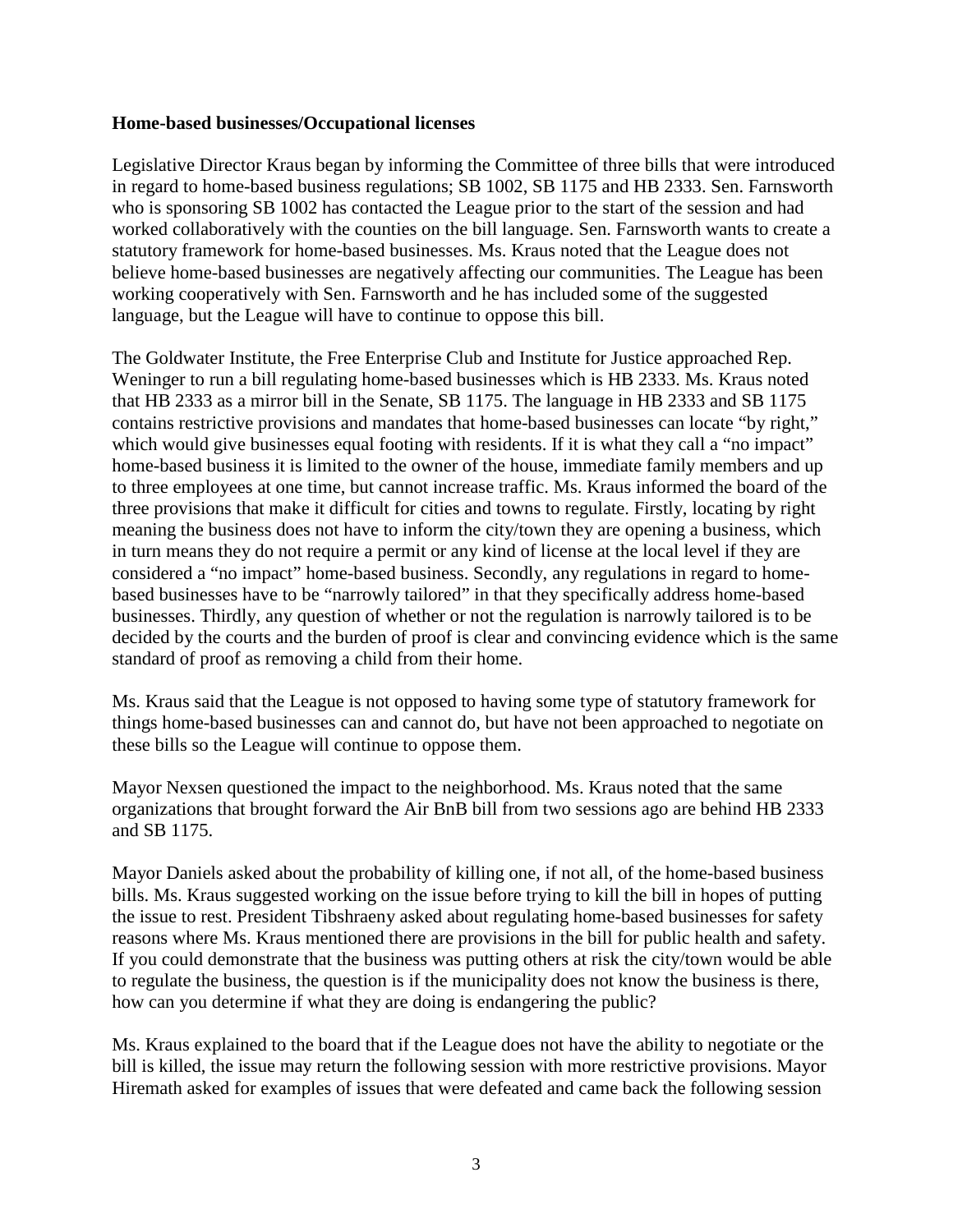### **Home-based businesses/Occupational licenses**

Legislative Director Kraus began by informing the Committee of three bills that were introduced in regard to home-based business regulations; SB 1002, SB 1175 and HB 2333. Sen. Farnsworth who is sponsoring SB 1002 has contacted the League prior to the start of the session and had worked collaboratively with the counties on the bill language. Sen. Farnsworth wants to create a statutory framework for home-based businesses. Ms. Kraus noted that the League does not believe home-based businesses are negatively affecting our communities. The League has been working cooperatively with Sen. Farnsworth and he has included some of the suggested language, but the League will have to continue to oppose this bill.

The Goldwater Institute, the Free Enterprise Club and Institute for Justice approached Rep. Weninger to run a bill regulating home-based businesses which is HB 2333. Ms. Kraus noted that HB 2333 as a mirror bill in the Senate, SB 1175. The language in HB 2333 and SB 1175 contains restrictive provisions and mandates that home-based businesses can locate "by right," which would give businesses equal footing with residents. If it is what they call a "no impact" home-based business it is limited to the owner of the house, immediate family members and up to three employees at one time, but cannot increase traffic. Ms. Kraus informed the board of the three provisions that make it difficult for cities and towns to regulate. Firstly, locating by right meaning the business does not have to inform the city/town they are opening a business, which in turn means they do not require a permit or any kind of license at the local level if they are considered a "no impact" home-based business. Secondly, any regulations in regard to homebased businesses have to be "narrowly tailored" in that they specifically address home-based businesses. Thirdly, any question of whether or not the regulation is narrowly tailored is to be decided by the courts and the burden of proof is clear and convincing evidence which is the same standard of proof as removing a child from their home.

Ms. Kraus said that the League is not opposed to having some type of statutory framework for things home-based businesses can and cannot do, but have not been approached to negotiate on these bills so the League will continue to oppose them.

Mayor Nexsen questioned the impact to the neighborhood. Ms. Kraus noted that the same organizations that brought forward the Air BnB bill from two sessions ago are behind HB 2333 and SB 1175.

Mayor Daniels asked about the probability of killing one, if not all, of the home-based business bills. Ms. Kraus suggested working on the issue before trying to kill the bill in hopes of putting the issue to rest. President Tibshraeny asked about regulating home-based businesses for safety reasons where Ms. Kraus mentioned there are provisions in the bill for public health and safety. If you could demonstrate that the business was putting others at risk the city/town would be able to regulate the business, the question is if the municipality does not know the business is there, how can you determine if what they are doing is endangering the public?

Ms. Kraus explained to the board that if the League does not have the ability to negotiate or the bill is killed, the issue may return the following session with more restrictive provisions. Mayor Hiremath asked for examples of issues that were defeated and came back the following session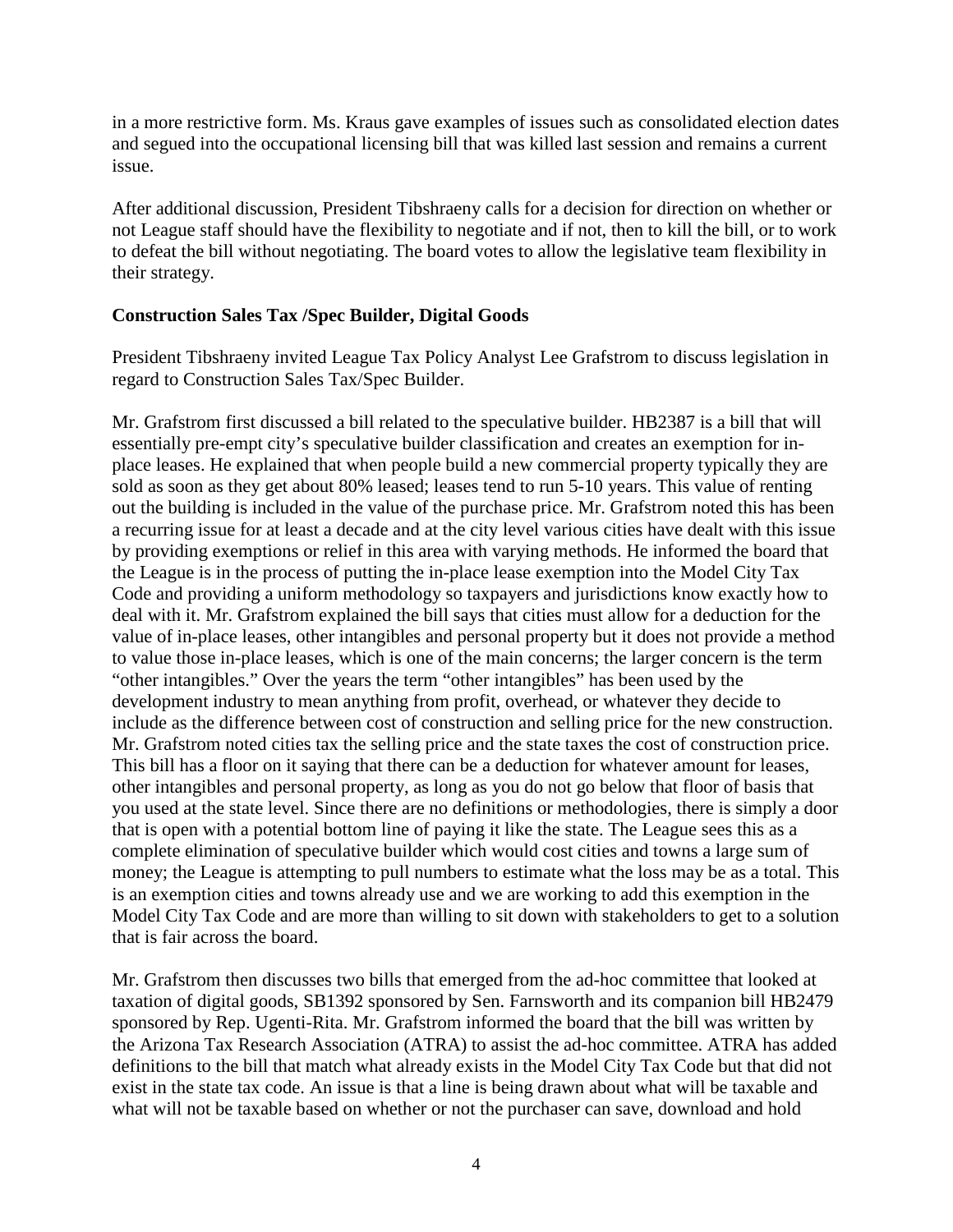in a more restrictive form. Ms. Kraus gave examples of issues such as consolidated election dates and segued into the occupational licensing bill that was killed last session and remains a current issue.

After additional discussion, President Tibshraeny calls for a decision for direction on whether or not League staff should have the flexibility to negotiate and if not, then to kill the bill, or to work to defeat the bill without negotiating. The board votes to allow the legislative team flexibility in their strategy.

### **Construction Sales Tax /Spec Builder, Digital Goods**

President Tibshraeny invited League Tax Policy Analyst Lee Grafstrom to discuss legislation in regard to Construction Sales Tax/Spec Builder.

Mr. Grafstrom first discussed a bill related to the speculative builder. HB2387 is a bill that will essentially pre-empt city's speculative builder classification and creates an exemption for inplace leases. He explained that when people build a new commercial property typically they are sold as soon as they get about 80% leased; leases tend to run 5-10 years. This value of renting out the building is included in the value of the purchase price. Mr. Grafstrom noted this has been a recurring issue for at least a decade and at the city level various cities have dealt with this issue by providing exemptions or relief in this area with varying methods. He informed the board that the League is in the process of putting the in-place lease exemption into the Model City Tax Code and providing a uniform methodology so taxpayers and jurisdictions know exactly how to deal with it. Mr. Grafstrom explained the bill says that cities must allow for a deduction for the value of in-place leases, other intangibles and personal property but it does not provide a method to value those in-place leases, which is one of the main concerns; the larger concern is the term "other intangibles." Over the years the term "other intangibles" has been used by the development industry to mean anything from profit, overhead, or whatever they decide to include as the difference between cost of construction and selling price for the new construction. Mr. Grafstrom noted cities tax the selling price and the state taxes the cost of construction price. This bill has a floor on it saying that there can be a deduction for whatever amount for leases, other intangibles and personal property, as long as you do not go below that floor of basis that you used at the state level. Since there are no definitions or methodologies, there is simply a door that is open with a potential bottom line of paying it like the state. The League sees this as a complete elimination of speculative builder which would cost cities and towns a large sum of money; the League is attempting to pull numbers to estimate what the loss may be as a total. This is an exemption cities and towns already use and we are working to add this exemption in the Model City Tax Code and are more than willing to sit down with stakeholders to get to a solution that is fair across the board.

Mr. Grafstrom then discusses two bills that emerged from the ad-hoc committee that looked at taxation of digital goods, SB1392 sponsored by Sen. Farnsworth and its companion bill HB2479 sponsored by Rep. Ugenti-Rita. Mr. Grafstrom informed the board that the bill was written by the Arizona Tax Research Association (ATRA) to assist the ad-hoc committee. ATRA has added definitions to the bill that match what already exists in the Model City Tax Code but that did not exist in the state tax code. An issue is that a line is being drawn about what will be taxable and what will not be taxable based on whether or not the purchaser can save, download and hold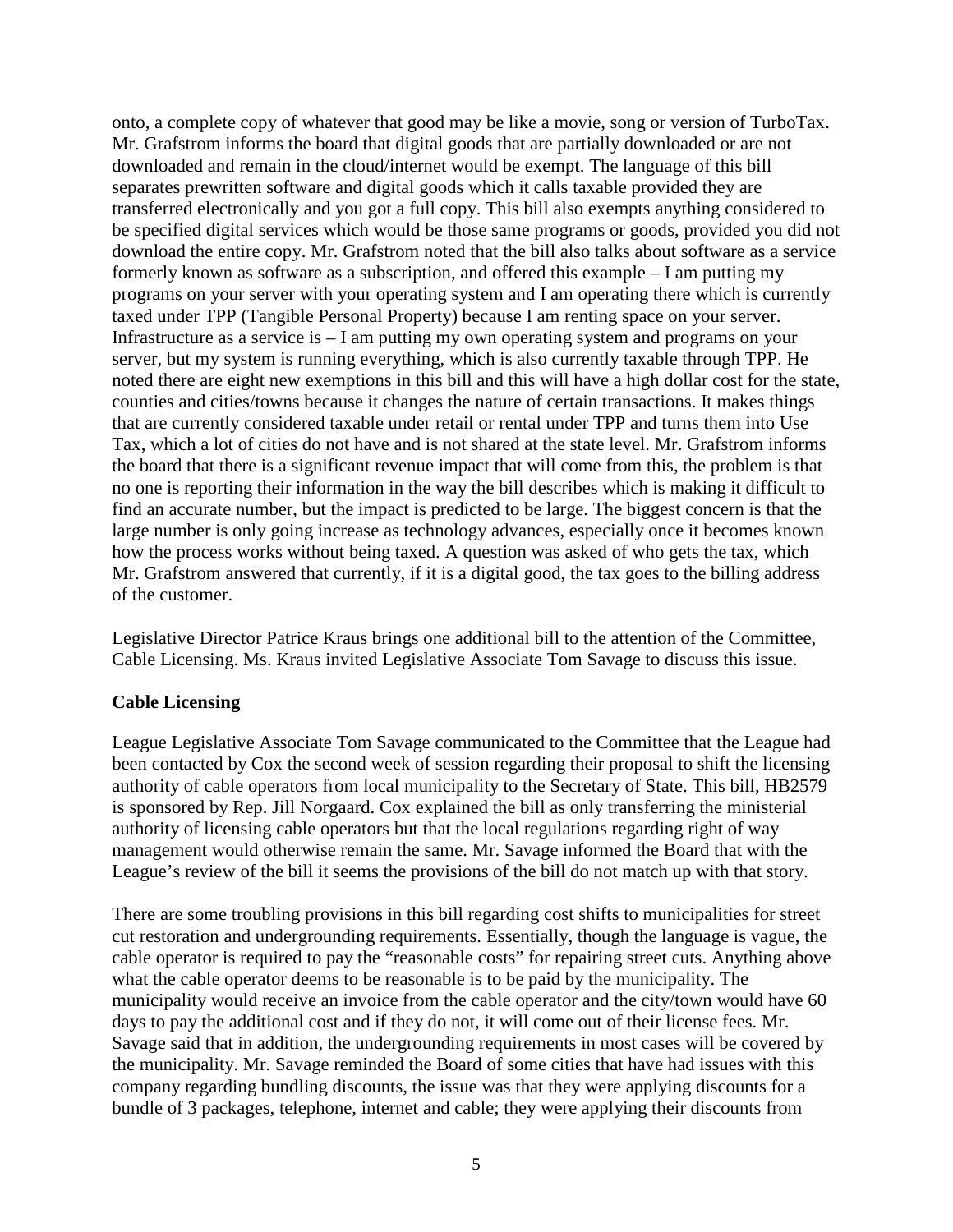onto, a complete copy of whatever that good may be like a movie, song or version of TurboTax. Mr. Grafstrom informs the board that digital goods that are partially downloaded or are not downloaded and remain in the cloud/internet would be exempt. The language of this bill separates prewritten software and digital goods which it calls taxable provided they are transferred electronically and you got a full copy. This bill also exempts anything considered to be specified digital services which would be those same programs or goods, provided you did not download the entire copy. Mr. Grafstrom noted that the bill also talks about software as a service formerly known as software as a subscription, and offered this example – I am putting my programs on your server with your operating system and I am operating there which is currently taxed under TPP (Tangible Personal Property) because I am renting space on your server. Infrastructure as a service is – I am putting my own operating system and programs on your server, but my system is running everything, which is also currently taxable through TPP. He noted there are eight new exemptions in this bill and this will have a high dollar cost for the state, counties and cities/towns because it changes the nature of certain transactions. It makes things that are currently considered taxable under retail or rental under TPP and turns them into Use Tax, which a lot of cities do not have and is not shared at the state level. Mr. Grafstrom informs the board that there is a significant revenue impact that will come from this, the problem is that no one is reporting their information in the way the bill describes which is making it difficult to find an accurate number, but the impact is predicted to be large. The biggest concern is that the large number is only going increase as technology advances, especially once it becomes known how the process works without being taxed. A question was asked of who gets the tax, which Mr. Grafstrom answered that currently, if it is a digital good, the tax goes to the billing address of the customer.

Legislative Director Patrice Kraus brings one additional bill to the attention of the Committee, Cable Licensing. Ms. Kraus invited Legislative Associate Tom Savage to discuss this issue.

### **Cable Licensing**

League Legislative Associate Tom Savage communicated to the Committee that the League had been contacted by Cox the second week of session regarding their proposal to shift the licensing authority of cable operators from local municipality to the Secretary of State. This bill, HB2579 is sponsored by Rep. Jill Norgaard. Cox explained the bill as only transferring the ministerial authority of licensing cable operators but that the local regulations regarding right of way management would otherwise remain the same. Mr. Savage informed the Board that with the League's review of the bill it seems the provisions of the bill do not match up with that story.

There are some troubling provisions in this bill regarding cost shifts to municipalities for street cut restoration and undergrounding requirements. Essentially, though the language is vague, the cable operator is required to pay the "reasonable costs" for repairing street cuts. Anything above what the cable operator deems to be reasonable is to be paid by the municipality. The municipality would receive an invoice from the cable operator and the city/town would have 60 days to pay the additional cost and if they do not, it will come out of their license fees. Mr. Savage said that in addition, the undergrounding requirements in most cases will be covered by the municipality. Mr. Savage reminded the Board of some cities that have had issues with this company regarding bundling discounts, the issue was that they were applying discounts for a bundle of 3 packages, telephone, internet and cable; they were applying their discounts from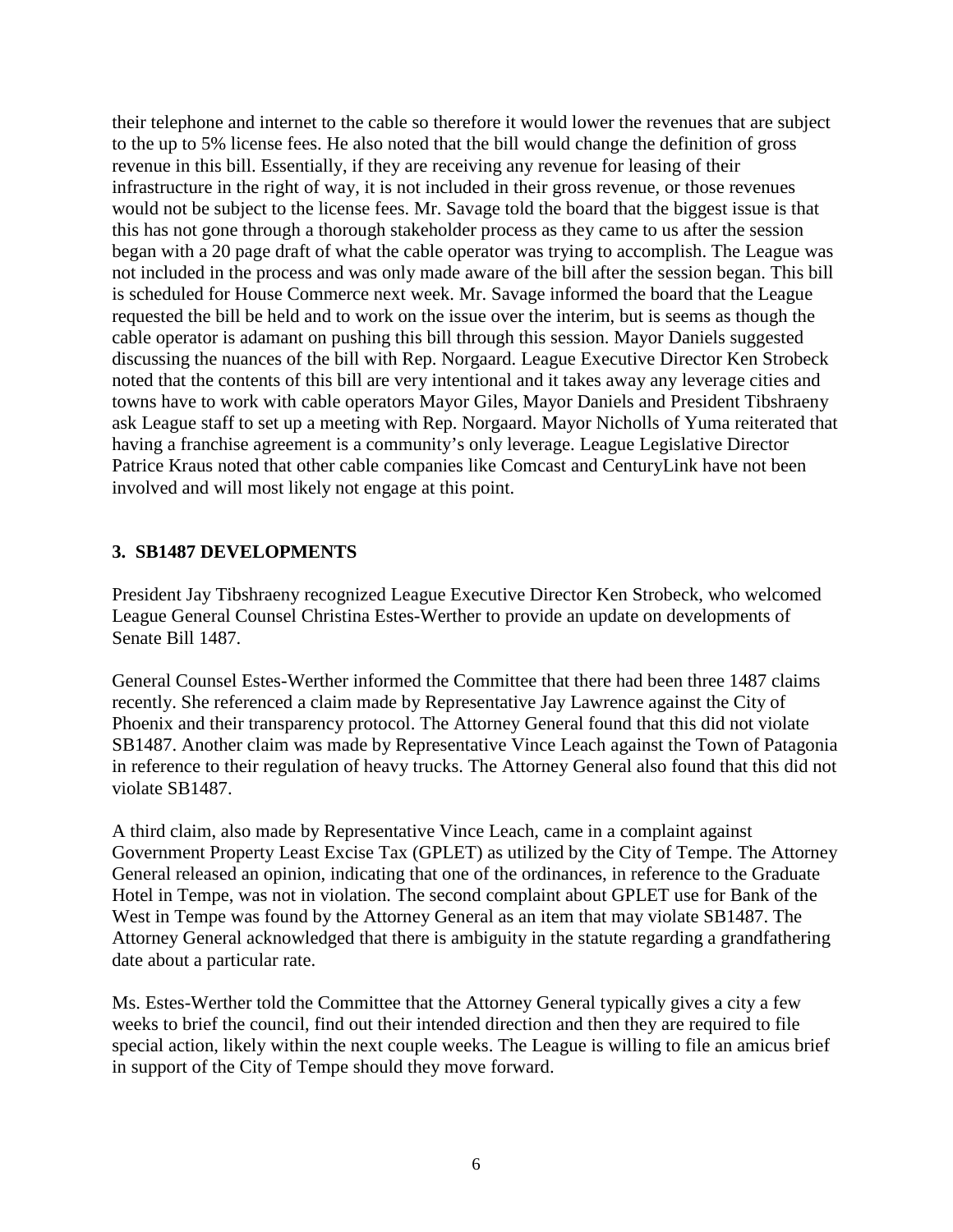their telephone and internet to the cable so therefore it would lower the revenues that are subject to the up to 5% license fees. He also noted that the bill would change the definition of gross revenue in this bill. Essentially, if they are receiving any revenue for leasing of their infrastructure in the right of way, it is not included in their gross revenue, or those revenues would not be subject to the license fees. Mr. Savage told the board that the biggest issue is that this has not gone through a thorough stakeholder process as they came to us after the session began with a 20 page draft of what the cable operator was trying to accomplish. The League was not included in the process and was only made aware of the bill after the session began. This bill is scheduled for House Commerce next week. Mr. Savage informed the board that the League requested the bill be held and to work on the issue over the interim, but is seems as though the cable operator is adamant on pushing this bill through this session. Mayor Daniels suggested discussing the nuances of the bill with Rep. Norgaard. League Executive Director Ken Strobeck noted that the contents of this bill are very intentional and it takes away any leverage cities and towns have to work with cable operators Mayor Giles, Mayor Daniels and President Tibshraeny ask League staff to set up a meeting with Rep. Norgaard. Mayor Nicholls of Yuma reiterated that having a franchise agreement is a community's only leverage. League Legislative Director Patrice Kraus noted that other cable companies like Comcast and CenturyLink have not been involved and will most likely not engage at this point.

### **3. SB1487 DEVELOPMENTS**

President Jay Tibshraeny recognized League Executive Director Ken Strobeck, who welcomed League General Counsel Christina Estes-Werther to provide an update on developments of Senate Bill 1487.

General Counsel Estes-Werther informed the Committee that there had been three 1487 claims recently. She referenced a claim made by Representative Jay Lawrence against the City of Phoenix and their transparency protocol. The Attorney General found that this did not violate SB1487. Another claim was made by Representative Vince Leach against the Town of Patagonia in reference to their regulation of heavy trucks. The Attorney General also found that this did not violate SB1487.

A third claim, also made by Representative Vince Leach, came in a complaint against Government Property Least Excise Tax (GPLET) as utilized by the City of Tempe. The Attorney General released an opinion, indicating that one of the ordinances, in reference to the Graduate Hotel in Tempe, was not in violation. The second complaint about GPLET use for Bank of the West in Tempe was found by the Attorney General as an item that may violate SB1487. The Attorney General acknowledged that there is ambiguity in the statute regarding a grandfathering date about a particular rate.

Ms. Estes-Werther told the Committee that the Attorney General typically gives a city a few weeks to brief the council, find out their intended direction and then they are required to file special action, likely within the next couple weeks. The League is willing to file an amicus brief in support of the City of Tempe should they move forward.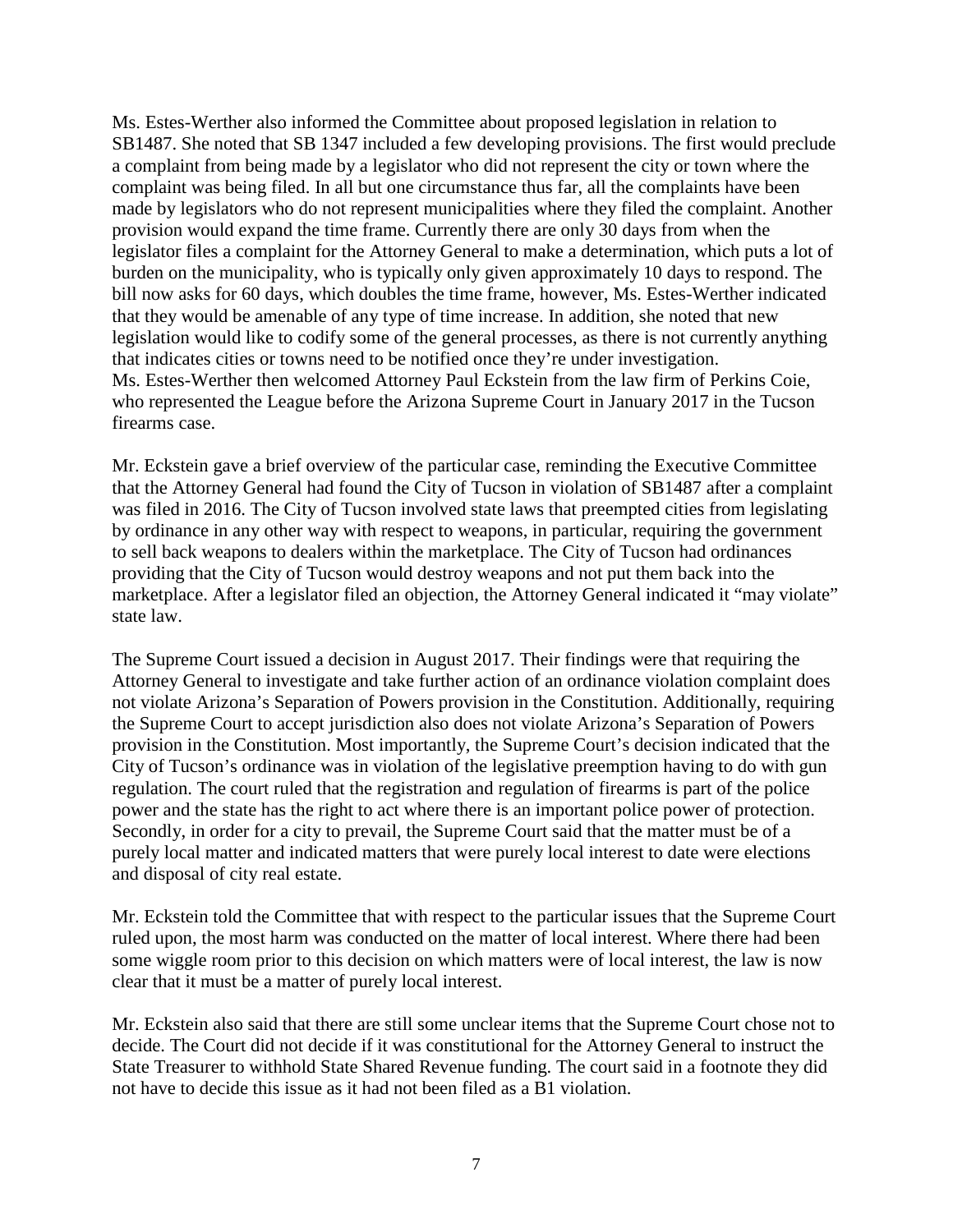Ms. Estes-Werther also informed the Committee about proposed legislation in relation to SB1487. She noted that SB 1347 included a few developing provisions. The first would preclude a complaint from being made by a legislator who did not represent the city or town where the complaint was being filed. In all but one circumstance thus far, all the complaints have been made by legislators who do not represent municipalities where they filed the complaint. Another provision would expand the time frame. Currently there are only 30 days from when the legislator files a complaint for the Attorney General to make a determination, which puts a lot of burden on the municipality, who is typically only given approximately 10 days to respond. The bill now asks for 60 days, which doubles the time frame, however, Ms. Estes-Werther indicated that they would be amenable of any type of time increase. In addition, she noted that new legislation would like to codify some of the general processes, as there is not currently anything that indicates cities or towns need to be notified once they're under investigation. Ms. Estes-Werther then welcomed Attorney Paul Eckstein from the law firm of Perkins Coie, who represented the League before the Arizona Supreme Court in January 2017 in the Tucson firearms case.

Mr. Eckstein gave a brief overview of the particular case, reminding the Executive Committee that the Attorney General had found the City of Tucson in violation of SB1487 after a complaint was filed in 2016. The City of Tucson involved state laws that preempted cities from legislating by ordinance in any other way with respect to weapons, in particular, requiring the government to sell back weapons to dealers within the marketplace. The City of Tucson had ordinances providing that the City of Tucson would destroy weapons and not put them back into the marketplace. After a legislator filed an objection, the Attorney General indicated it "may violate" state law.

The Supreme Court issued a decision in August 2017. Their findings were that requiring the Attorney General to investigate and take further action of an ordinance violation complaint does not violate Arizona's Separation of Powers provision in the Constitution. Additionally, requiring the Supreme Court to accept jurisdiction also does not violate Arizona's Separation of Powers provision in the Constitution. Most importantly, the Supreme Court's decision indicated that the City of Tucson's ordinance was in violation of the legislative preemption having to do with gun regulation. The court ruled that the registration and regulation of firearms is part of the police power and the state has the right to act where there is an important police power of protection. Secondly, in order for a city to prevail, the Supreme Court said that the matter must be of a purely local matter and indicated matters that were purely local interest to date were elections and disposal of city real estate.

Mr. Eckstein told the Committee that with respect to the particular issues that the Supreme Court ruled upon, the most harm was conducted on the matter of local interest. Where there had been some wiggle room prior to this decision on which matters were of local interest, the law is now clear that it must be a matter of purely local interest.

Mr. Eckstein also said that there are still some unclear items that the Supreme Court chose not to decide. The Court did not decide if it was constitutional for the Attorney General to instruct the State Treasurer to withhold State Shared Revenue funding. The court said in a footnote they did not have to decide this issue as it had not been filed as a B1 violation.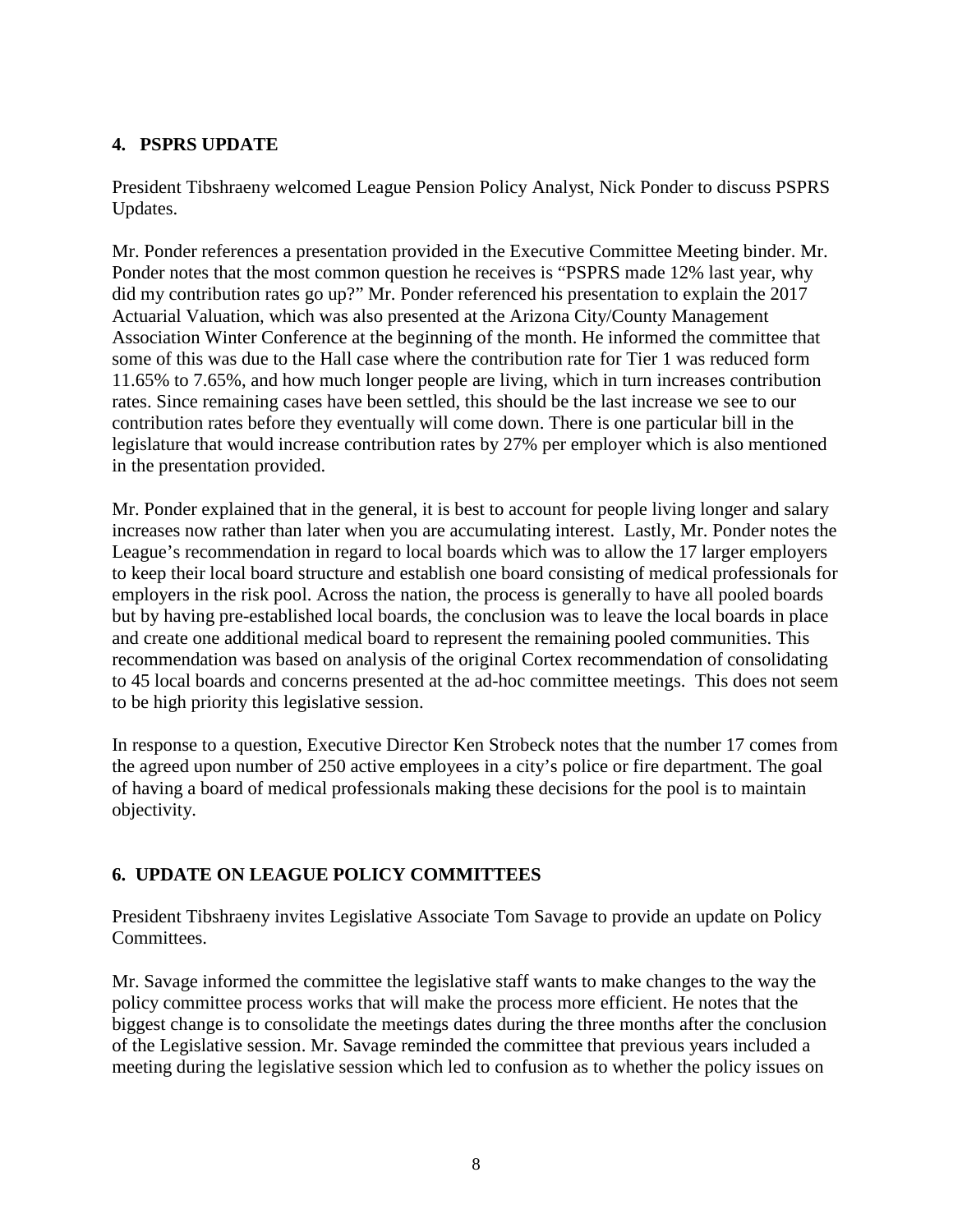## **4. PSPRS UPDATE**

President Tibshraeny welcomed League Pension Policy Analyst, Nick Ponder to discuss PSPRS Updates.

Mr. Ponder references a presentation provided in the Executive Committee Meeting binder. Mr. Ponder notes that the most common question he receives is "PSPRS made 12% last year, why did my contribution rates go up?" Mr. Ponder referenced his presentation to explain the 2017 Actuarial Valuation, which was also presented at the Arizona City/County Management Association Winter Conference at the beginning of the month. He informed the committee that some of this was due to the Hall case where the contribution rate for Tier 1 was reduced form 11.65% to 7.65%, and how much longer people are living, which in turn increases contribution rates. Since remaining cases have been settled, this should be the last increase we see to our contribution rates before they eventually will come down. There is one particular bill in the legislature that would increase contribution rates by 27% per employer which is also mentioned in the presentation provided.

Mr. Ponder explained that in the general, it is best to account for people living longer and salary increases now rather than later when you are accumulating interest. Lastly, Mr. Ponder notes the League's recommendation in regard to local boards which was to allow the 17 larger employers to keep their local board structure and establish one board consisting of medical professionals for employers in the risk pool. Across the nation, the process is generally to have all pooled boards but by having pre-established local boards, the conclusion was to leave the local boards in place and create one additional medical board to represent the remaining pooled communities. This recommendation was based on analysis of the original Cortex recommendation of consolidating to 45 local boards and concerns presented at the ad-hoc committee meetings. This does not seem to be high priority this legislative session.

In response to a question, Executive Director Ken Strobeck notes that the number 17 comes from the agreed upon number of 250 active employees in a city's police or fire department. The goal of having a board of medical professionals making these decisions for the pool is to maintain objectivity.

# **6. UPDATE ON LEAGUE POLICY COMMITTEES**

President Tibshraeny invites Legislative Associate Tom Savage to provide an update on Policy Committees.

Mr. Savage informed the committee the legislative staff wants to make changes to the way the policy committee process works that will make the process more efficient. He notes that the biggest change is to consolidate the meetings dates during the three months after the conclusion of the Legislative session. Mr. Savage reminded the committee that previous years included a meeting during the legislative session which led to confusion as to whether the policy issues on